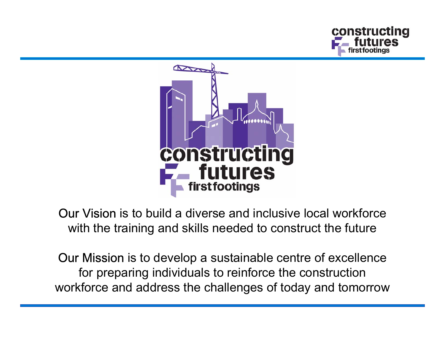



Our Vision is to build a diverse and inclusive local workforce with the training and skills needed to construct the future

Our Mission is to develop a sustainable centre of excellence for preparing individuals to reinforce the construction workforce and address the challenges of today and tomorrow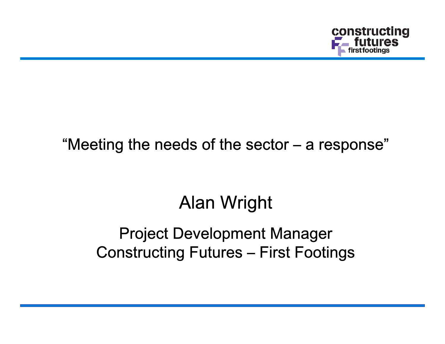

## "Meeting the needs of the sector – a response"

## Alan Wright

## Project Development Manager Constructing Futures – First Footings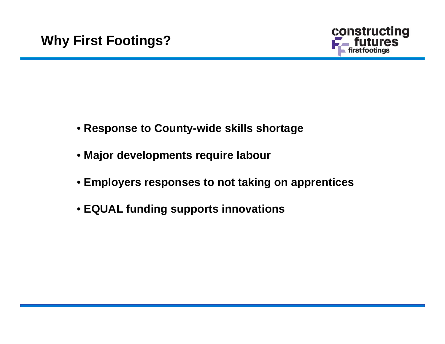

- **Response to County-wide skills shortage**
- **Major developments require labour**
- **Employers responses to not taking on apprentices**
- **EQUAL funding supports innovations**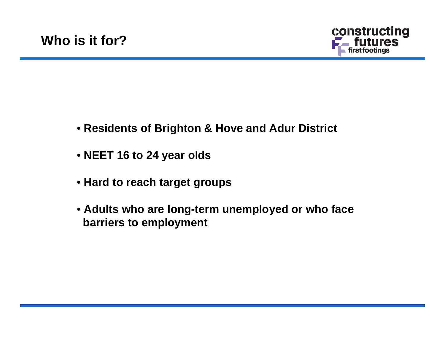

- **Residents of Brighton & Hove and Adur District**
- **NEET 16 to 24 year olds**
- **Hard to reach target groups**
- **Adults who are long-term unemployed or who face barriers to employment**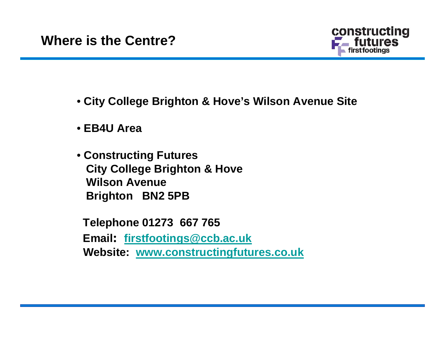

- **City College Brighton & Hove's Wilson Avenue Site**
- **EB4U Area**
- **Constructing Futures City College Brighton & Hove Wilson AvenueBrighton BN2 5PB**

**Telephone 01273 667 765 Email: [firstfootings@](mailto:firstfootings@ccb.ac.uk) ccb.ac.uk Website: [www.constructingfutures.co.uk](http://www.constructingfutures.co.uk/)**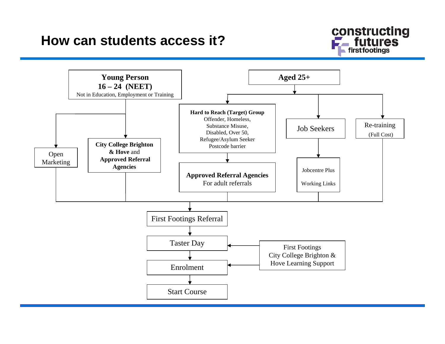## **How can students access it?**



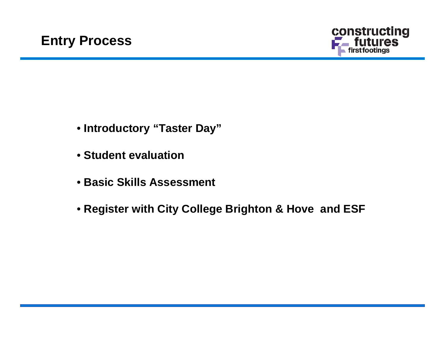

- **Introductory "Taster Day"**
- **Student evaluation**
- **Basic Skills Assessment**
- **Register with City College Brighton & Hove and ESF**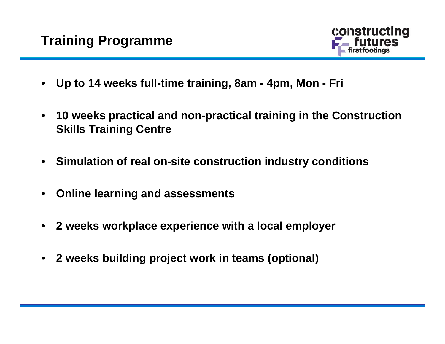

- •**Up to 14 weeks full-time training, 8am - 4pm, Mon - Fri**
- • **10 weeks practical and non-practical training in the Construction Skills Training Centre**
- $\bullet$ **Simulation of real on-site construction industry conditions**
- $\bullet$ **Online learning and assessments**
- $\bullet$ **2 weeks workplace experience with a local employer**
- $\bullet$ **2 weeks building project work in teams (optional)**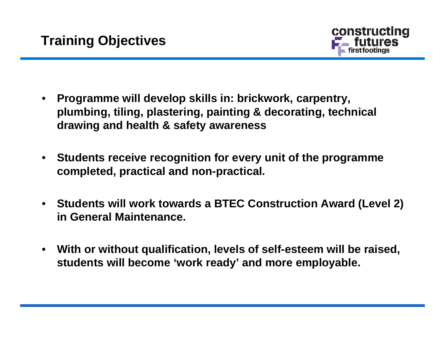

- • **Programme will develop skills in: brickwork, carpentry, plumbing, tiling, plastering, painting & decorating, technical drawing and health & safety awareness**
- • **Students receive recognition for every unit of the programme completed, practical and non-practical.**
- **Students will work towards a BTEC Construction Award (Level 2) in General Maintenance.**
- • **With or without qualification, levels of self-esteem will be raised, students will become 'work ready' and more employable.**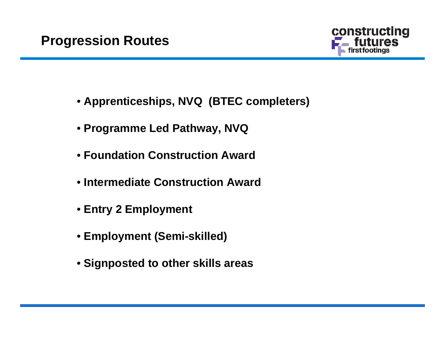

- **Apprenticeships, NVQ (BTEC completers)**
- **Programme Led Pathway, NVQ**
- **Foundation Construction Award**
- **Intermediate Construction Award**
- **Entry 2 Employment**
- **Employment (Semi-skilled)**
- **Signposted to other skills areas**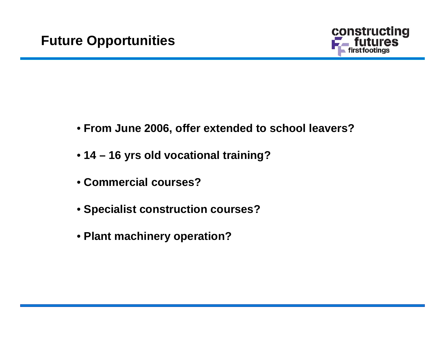

- **From June 2006, offer extended to school leavers?**
- **14 – 16 yrs old vocational training?**
- **Commercial courses?**
- **Specialist construction courses?**
- **Plant machinery operation?**